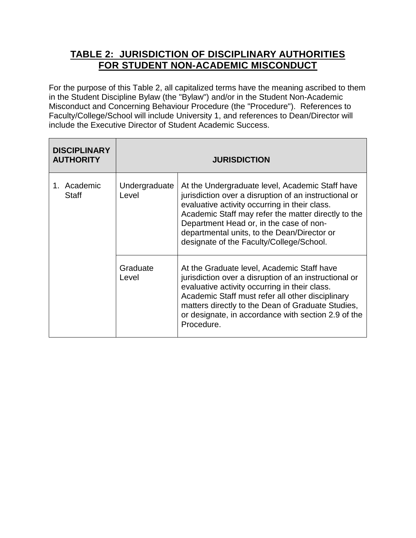## **TABLE 2: JURISDICTION OF DISCIPLINARY AUTHORITIES FOR STUDENT NON-ACADEMIC MISCONDUCT**

For the purpose of this Table 2, all capitalized terms have the meaning ascribed to them in the Student Discipline Bylaw (the "Bylaw") and/or in the Student Non-Academic Misconduct and Concerning Behaviour Procedure (the "Procedure"). References to Faculty/College/School will include University 1, and references to Dean/Director will include the Executive Director of Student Academic Success.

| <b>DISCIPLINARY</b><br><b>AUTHORITY</b> | <b>JURISDICTION</b>    |                                                                                                                                                                                                                                                                                                                                                        |
|-----------------------------------------|------------------------|--------------------------------------------------------------------------------------------------------------------------------------------------------------------------------------------------------------------------------------------------------------------------------------------------------------------------------------------------------|
| 1. Academic<br><b>Staff</b>             | Undergraduate<br>Level | At the Undergraduate level, Academic Staff have<br>jurisdiction over a disruption of an instructional or<br>evaluative activity occurring in their class.<br>Academic Staff may refer the matter directly to the<br>Department Head or, in the case of non-<br>departmental units, to the Dean/Director or<br>designate of the Faculty/College/School. |
|                                         | Graduate<br>Level      | At the Graduate level, Academic Staff have<br>jurisdiction over a disruption of an instructional or<br>evaluative activity occurring in their class.<br>Academic Staff must refer all other disciplinary<br>matters directly to the Dean of Graduate Studies,<br>or designate, in accordance with section 2.9 of the<br>Procedure.                     |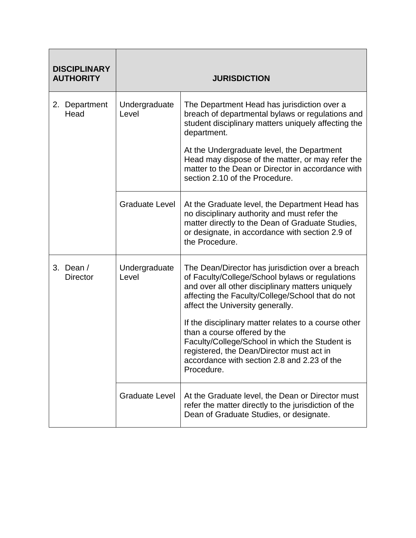| <b>DISCIPLINARY</b><br><b>AUTHORITY</b> |                        | <b>JURISDICTION</b>                                                                                                                                                                                                                              |
|-----------------------------------------|------------------------|--------------------------------------------------------------------------------------------------------------------------------------------------------------------------------------------------------------------------------------------------|
| Department<br>2.<br>Head                | Undergraduate<br>Level | The Department Head has jurisdiction over a<br>breach of departmental bylaws or regulations and<br>student disciplinary matters uniquely affecting the<br>department.                                                                            |
|                                         |                        | At the Undergraduate level, the Department<br>Head may dispose of the matter, or may refer the<br>matter to the Dean or Director in accordance with<br>section 2.10 of the Procedure.                                                            |
|                                         | <b>Graduate Level</b>  | At the Graduate level, the Department Head has<br>no disciplinary authority and must refer the<br>matter directly to the Dean of Graduate Studies,<br>or designate, in accordance with section 2.9 of<br>the Procedure.                          |
| 3. Dean $/$<br><b>Director</b>          | Undergraduate<br>Level | The Dean/Director has jurisdiction over a breach<br>of Faculty/College/School bylaws or regulations<br>and over all other disciplinary matters uniquely<br>affecting the Faculty/College/School that do not<br>affect the University generally.  |
|                                         |                        | If the disciplinary matter relates to a course other<br>than a course offered by the<br>Faculty/College/School in which the Student is<br>registered, the Dean/Director must act in<br>accordance with section 2.8 and 2.23 of the<br>Procedure. |
|                                         | <b>Graduate Level</b>  | At the Graduate level, the Dean or Director must<br>refer the matter directly to the jurisdiction of the<br>Dean of Graduate Studies, or designate.                                                                                              |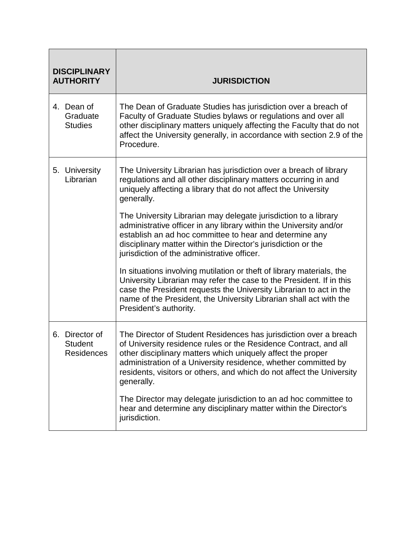| <b>DISCIPLINARY</b><br><b>AUTHORITY</b> |                                             | <b>JURISDICTION</b>                                                                                                                                                                                                                                                                                                                                           |
|-----------------------------------------|---------------------------------------------|---------------------------------------------------------------------------------------------------------------------------------------------------------------------------------------------------------------------------------------------------------------------------------------------------------------------------------------------------------------|
|                                         | 4. Dean of<br>Graduate<br><b>Studies</b>    | The Dean of Graduate Studies has jurisdiction over a breach of<br>Faculty of Graduate Studies bylaws or regulations and over all<br>other disciplinary matters uniquely affecting the Faculty that do not<br>affect the University generally, in accordance with section 2.9 of the<br>Procedure.                                                             |
|                                         | 5. University<br>Librarian                  | The University Librarian has jurisdiction over a breach of library<br>regulations and all other disciplinary matters occurring in and<br>uniquely affecting a library that do not affect the University<br>generally.                                                                                                                                         |
|                                         |                                             | The University Librarian may delegate jurisdiction to a library<br>administrative officer in any library within the University and/or<br>establish an ad hoc committee to hear and determine any<br>disciplinary matter within the Director's jurisdiction or the<br>jurisdiction of the administrative officer.                                              |
|                                         |                                             | In situations involving mutilation or theft of library materials, the<br>University Librarian may refer the case to the President. If in this<br>case the President requests the University Librarian to act in the<br>name of the President, the University Librarian shall act with the<br>President's authority.                                           |
| 6.                                      | Director of<br><b>Student</b><br>Residences | The Director of Student Residences has jurisdiction over a breach<br>of University residence rules or the Residence Contract, and all<br>other disciplinary matters which uniquely affect the proper<br>administration of a University residence, whether committed by<br>residents, visitors or others, and which do not affect the University<br>generally. |
|                                         |                                             | The Director may delegate jurisdiction to an ad hoc committee to<br>hear and determine any disciplinary matter within the Director's<br>jurisdiction.                                                                                                                                                                                                         |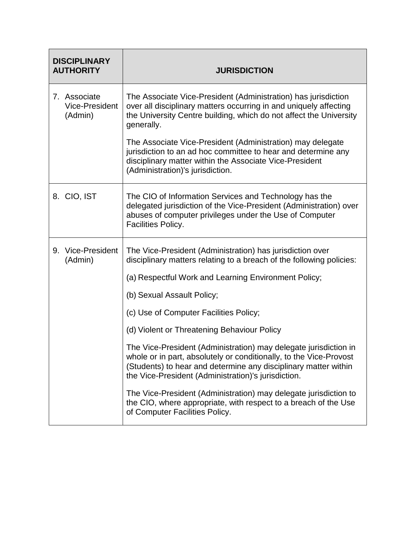| <b>DISCIPLINARY</b><br><b>AUTHORITY</b>          | <b>JURISDICTION</b>                                                                                                                                                                                                                                              |
|--------------------------------------------------|------------------------------------------------------------------------------------------------------------------------------------------------------------------------------------------------------------------------------------------------------------------|
| 7. Associate<br><b>Vice-President</b><br>(Admin) | The Associate Vice-President (Administration) has jurisdiction<br>over all disciplinary matters occurring in and uniquely affecting<br>the University Centre building, which do not affect the University<br>generally.                                          |
|                                                  | The Associate Vice-President (Administration) may delegate<br>jurisdiction to an ad hoc committee to hear and determine any<br>disciplinary matter within the Associate Vice-President<br>(Administration)'s jurisdiction.                                       |
| 8. CIO, IST                                      | The CIO of Information Services and Technology has the<br>delegated jurisdiction of the Vice-President (Administration) over<br>abuses of computer privileges under the Use of Computer<br>Facilities Policy.                                                    |
| Vice-President<br>9.<br>(Admin)                  | The Vice-President (Administration) has jurisdiction over<br>disciplinary matters relating to a breach of the following policies:                                                                                                                                |
|                                                  | (a) Respectful Work and Learning Environment Policy;                                                                                                                                                                                                             |
|                                                  | (b) Sexual Assault Policy;                                                                                                                                                                                                                                       |
|                                                  | (c) Use of Computer Facilities Policy;                                                                                                                                                                                                                           |
|                                                  | (d) Violent or Threatening Behaviour Policy                                                                                                                                                                                                                      |
|                                                  | The Vice-President (Administration) may delegate jurisdiction in<br>whole or in part, absolutely or conditionally, to the Vice-Provost<br>(Students) to hear and determine any disciplinary matter within<br>the Vice-President (Administration)'s jurisdiction. |
|                                                  | The Vice-President (Administration) may delegate jurisdiction to<br>the CIO, where appropriate, with respect to a breach of the Use<br>of Computer Facilities Policy.                                                                                            |